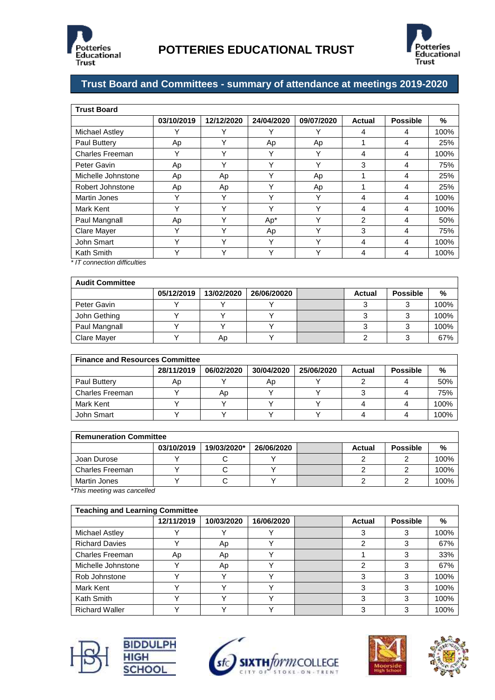



## **Trust Board and Committees - summary of attendance at meetings 2019-2020**

| <b>Trust Board</b>                                                                                                                                                                                                                              |             |            |            |             |        |                 |      |  |  |
|-------------------------------------------------------------------------------------------------------------------------------------------------------------------------------------------------------------------------------------------------|-------------|------------|------------|-------------|--------|-----------------|------|--|--|
|                                                                                                                                                                                                                                                 | 03/10/2019  | 12/12/2020 | 24/04/2020 | 09/07/2020  | Actual | <b>Possible</b> | %    |  |  |
| Michael Astley                                                                                                                                                                                                                                  | v           | v          | v          |             | 4      | 4               | 100% |  |  |
| Paul Buttery                                                                                                                                                                                                                                    | Ap          | Y          | Ap         | Ap          |        | 4               | 25%  |  |  |
| Charles Freeman                                                                                                                                                                                                                                 | Y           | Y          | Y          |             | 4      | 4               | 100% |  |  |
| Peter Gavin                                                                                                                                                                                                                                     | Аp          | v          | Υ          | v           | 3      | 4               | 75%  |  |  |
| Michelle Johnstone                                                                                                                                                                                                                              | Ap          | Ap         | Υ          | Ap          |        | 4               | 25%  |  |  |
| Robert Johnstone                                                                                                                                                                                                                                | Ap          | Ap         | Υ          | Ap          |        | 4               | 25%  |  |  |
| <b>Martin Jones</b>                                                                                                                                                                                                                             | Y           | Υ          | Y          | Υ           | 4      | 4               | 100% |  |  |
| Mark Kent                                                                                                                                                                                                                                       | Υ           | Υ          | Υ          | ٧           | 4      | 4               | 100% |  |  |
| Paul Mangnall                                                                                                                                                                                                                                   | Ap          | v          | Ap*        | $\check{ }$ | 2      | 4               | 50%  |  |  |
| Clare Mayer                                                                                                                                                                                                                                     | Y           | v          | Ap         | v           | 3      | 4               | 75%  |  |  |
| John Smart                                                                                                                                                                                                                                      | Y           | Y          | Υ          | Υ           | 4      | 4               | 100% |  |  |
| Kath Smith<br>$\frac{1}{2}$ . The contract of the contract of the contract of the contract of the contract of the contract of the contract of the contract of the contract of the contract of the contract of the contract of the contract of t | $\check{ }$ | v          | Υ          | $\check{ }$ | 4      | 4               | 100% |  |  |

*\* IT connection difficulties*

| <b>Audit Committee</b> |            |            |             |        |                 |      |
|------------------------|------------|------------|-------------|--------|-----------------|------|
|                        | 05/12/2019 | 13/02/2020 | 26/06/20020 | Actual | <b>Possible</b> | %    |
| Peter Gavin            |            |            |             |        |                 | 100% |
| John Gething           |            |            |             |        |                 | 100% |
| Paul Mangnall          |            |            |             |        |                 | 100% |
| <b>Clare Mayer</b>     |            | Ap         |             |        |                 | 67%  |

| <b>Finance and Resources Committee</b> |            |            |            |            |        |                 |      |  |  |
|----------------------------------------|------------|------------|------------|------------|--------|-----------------|------|--|--|
|                                        | 28/11/2019 | 06/02/2020 | 30/04/2020 | 25/06/2020 | Actual | <b>Possible</b> | %    |  |  |
| Paul Buttery                           | Ap         |            | Ap         |            |        |                 | 50%  |  |  |
| Charles Freeman                        |            | Ap         |            |            |        |                 | 75%  |  |  |
| Mark Kent                              |            |            |            |            |        |                 | 100% |  |  |
| John Smart                             |            |            |            |            |        |                 | 100% |  |  |

| <b>Remuneration Committee</b>  |            |             |            |  |        |                 |      |  |  |
|--------------------------------|------------|-------------|------------|--|--------|-----------------|------|--|--|
|                                | 03/10/2019 | 19/03/2020* | 26/06/2020 |  | Actual | <b>Possible</b> | %    |  |  |
| Joan Durose                    |            |             |            |  |        |                 | 100% |  |  |
| <b>Charles Freeman</b>         |            |             |            |  |        |                 | 100% |  |  |
| Martin Jones                   |            |             |            |  |        |                 | 100% |  |  |
| $*$ Thio mooting was consolled |            |             |            |  |        |                 |      |  |  |

*\*This meeting was cancelled*

| <b>Teaching and Learning Committee</b> |            |            |              |  |        |                 |      |  |  |  |
|----------------------------------------|------------|------------|--------------|--|--------|-----------------|------|--|--|--|
|                                        | 12/11/2019 | 10/03/2020 | 16/06/2020   |  | Actual | <b>Possible</b> | %    |  |  |  |
| Michael Astley                         |            |            |              |  |        | 3               | 100% |  |  |  |
| <b>Richard Davies</b>                  |            | Ap         |              |  | っ      | 3               | 67%  |  |  |  |
| <b>Charles Freeman</b>                 | Ap         | Ap         | v            |  |        | 3               | 33%  |  |  |  |
| Michelle Johnstone                     |            | Ap         |              |  | っ      | 3               | 67%  |  |  |  |
| Rob Johnstone                          |            |            | $\checkmark$ |  | 3      | 3               | 100% |  |  |  |
| Mark Kent                              |            |            |              |  | 3      | 3               | 100% |  |  |  |
| Kath Smith                             |            |            | v            |  | 3      | 3               | 100% |  |  |  |
| <b>Richard Waller</b>                  |            |            |              |  | 3      | 3               | 100% |  |  |  |